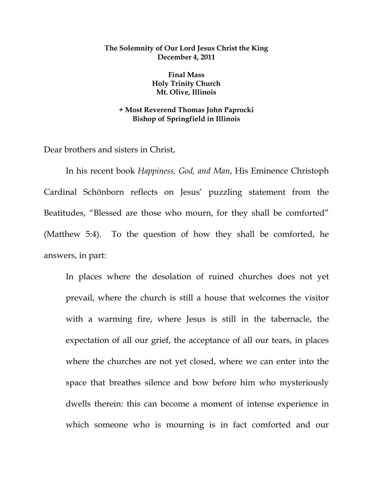## **The Solemnity of Our Lord Jesus Christ the King December 4, 2011**

**Final Mass Holy Trinity Church Mt. Olive, Illinois** 

## **+ Most Reverend Thomas John Paprocki Bishop of Springfield in Illinois**

Dear brothers and sisters in Christ,

 In his recent book *Happiness, God, and Man*, His Eminence Christoph Cardinal Schönborn reflects on Jesus' puzzling statement from the Beatitudes, "Blessed are those who mourn, for they shall be comforted" (Matthew 5:4). To the question of how they shall be comforted, he answers, in part:

In places where the desolation of ruined churches does not yet prevail, where the church is still a house that welcomes the visitor with a warming fire, where Jesus is still in the tabernacle, the expectation of all our grief, the acceptance of all our tears, in places where the churches are not yet closed, where we can enter into the space that breathes silence and bow before him who mysteriously dwells therein: this can become a moment of intense experience in which someone who is mourning is in fact comforted and our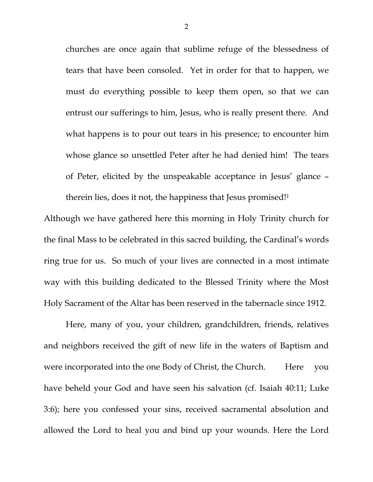churches are once again that sublime refuge of the blessedness of tears that have been consoled. Yet in order for that to happen, we must do everything possible to keep them open, so that we can entrust our sufferings to him, Jesus, who is really present there. And what happens is to pour out tears in his presence; to encounter him whose glance so unsettled Peter after he had denied him! The tears of Peter, elicited by the unspeakable acceptance in Jesus' glance – therein lies, does it not, the happiness that Jesus promised!1

Although we have gathered here this morning in Holy Trinity church for the final Mass to be celebrated in this sacred building, the Cardinal's words ring true for us. So much of your lives are connected in a most intimate way with this building dedicated to the Blessed Trinity where the Most Holy Sacrament of the Altar has been reserved in the tabernacle since 1912.

 Here, many of you, your children, grandchildren, friends, relatives and neighbors received the gift of new life in the waters of Baptism and were incorporated into the one Body of Christ, the Church. Here you have beheld your God and have seen his salvation (cf. Isaiah 40:11; Luke 3:6); here you confessed your sins, received sacramental absolution and allowed the Lord to heal you and bind up your wounds. Here the Lord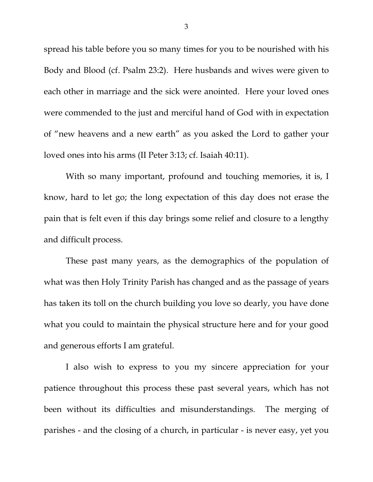spread his table before you so many times for you to be nourished with his Body and Blood (cf. Psalm 23:2). Here husbands and wives were given to each other in marriage and the sick were anointed. Here your loved ones were commended to the just and merciful hand of God with in expectation of "new heavens and a new earth" as you asked the Lord to gather your loved ones into his arms (II Peter 3:13; cf. Isaiah 40:11).

 With so many important, profound and touching memories, it is, I know, hard to let go; the long expectation of this day does not erase the pain that is felt even if this day brings some relief and closure to a lengthy and difficult process.

 These past many years, as the demographics of the population of what was then Holy Trinity Parish has changed and as the passage of years has taken its toll on the church building you love so dearly, you have done what you could to maintain the physical structure here and for your good and generous efforts I am grateful.

 I also wish to express to you my sincere appreciation for your patience throughout this process these past several years, which has not been without its difficulties and misunderstandings. The merging of parishes - and the closing of a church, in particular - is never easy, yet you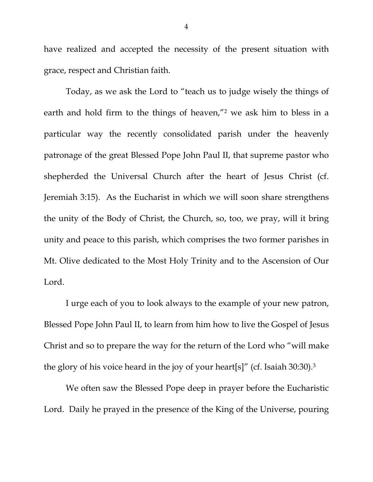have realized and accepted the necessity of the present situation with grace, respect and Christian faith.

 Today, as we ask the Lord to "teach us to judge wisely the things of earth and hold firm to the things of heaven,"2 we ask him to bless in a particular way the recently consolidated parish under the heavenly patronage of the great Blessed Pope John Paul II, that supreme pastor who shepherded the Universal Church after the heart of Jesus Christ (cf. Jeremiah 3:15). As the Eucharist in which we will soon share strengthens the unity of the Body of Christ, the Church, so, too, we pray, will it bring unity and peace to this parish, which comprises the two former parishes in Mt. Olive dedicated to the Most Holy Trinity and to the Ascension of Our Lord.

 I urge each of you to look always to the example of your new patron, Blessed Pope John Paul II, to learn from him how to live the Gospel of Jesus Christ and so to prepare the way for the return of the Lord who "will make the glory of his voice heard in the joy of your heart[s]" (cf. Isaiah 30:30).3

 We often saw the Blessed Pope deep in prayer before the Eucharistic Lord. Daily he prayed in the presence of the King of the Universe, pouring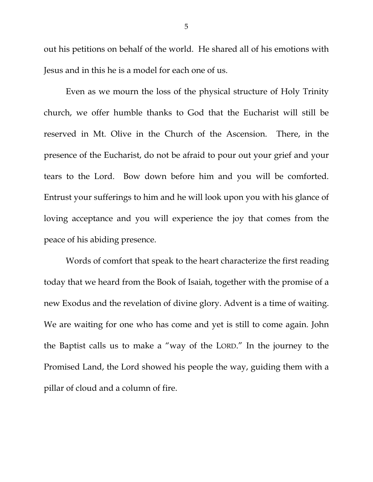out his petitions on behalf of the world. He shared all of his emotions with Jesus and in this he is a model for each one of us.

 Even as we mourn the loss of the physical structure of Holy Trinity church, we offer humble thanks to God that the Eucharist will still be reserved in Mt. Olive in the Church of the Ascension. There, in the presence of the Eucharist, do not be afraid to pour out your grief and your tears to the Lord. Bow down before him and you will be comforted. Entrust your sufferings to him and he will look upon you with his glance of loving acceptance and you will experience the joy that comes from the peace of his abiding presence.

Words of comfort that speak to the heart characterize the first reading today that we heard from the Book of Isaiah, together with the promise of a new Exodus and the revelation of divine glory. Advent is a time of waiting. We are waiting for one who has come and yet is still to come again. John the Baptist calls us to make a "way of the LORD." In the journey to the Promised Land, the Lord showed his people the way, guiding them with a pillar of cloud and a column of fire.